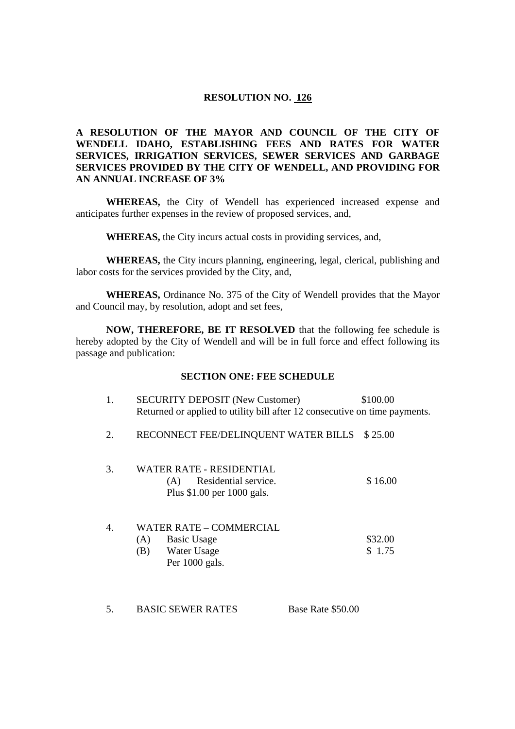## **RESOLUTION NO. 126**

# **A RESOLUTION OF THE MAYOR AND COUNCIL OF THE CITY OF WENDELL IDAHO, ESTABLISHING FEES AND RATES FOR WATER SERVICES, IRRIGATION SERVICES, SEWER SERVICES AND GARBAGE SERVICES PROVIDED BY THE CITY OF WENDELL, AND PROVIDING FOR AN ANNUAL INCREASE OF 3%**

**WHEREAS,** the City of Wendell has experienced increased expense and anticipates further expenses in the review of proposed services, and,

**WHEREAS,** the City incurs actual costs in providing services, and,

**WHEREAS,** the City incurs planning, engineering, legal, clerical, publishing and labor costs for the services provided by the City, and,

**WHEREAS,** Ordinance No. 375 of the City of Wendell provides that the Mayor and Council may, by resolution, adopt and set fees,

**NOW, THEREFORE, BE IT RESOLVED** that the following fee schedule is hereby adopted by the City of Wendell and will be in full force and effect following its passage and publication:

### **SECTION ONE: FEE SCHEDULE**

|    | 1. | <b>SECURITY DEPOSIT (New Customer)</b><br>Returned or applied to utility bill after 12 consecutive on time payments. |                   | \$100.00          |
|----|----|----------------------------------------------------------------------------------------------------------------------|-------------------|-------------------|
|    | 2. | RECONNECT FEE/DELINQUENT WATER BILLS \$25.00                                                                         |                   |                   |
|    | 3. | WATER RATE - RESIDENTIAL<br>Residential service.<br>(A)<br>Plus \$1.00 per 1000 gals.                                |                   | \$16.00           |
| 4. |    | WATER RATE – COMMERCIAL<br><b>Basic Usage</b><br>(A)<br>(B)<br>Water Usage<br>Per 1000 gals.                         |                   | \$32.00<br>\$1.75 |
| 5. |    | <b>BASIC SEWER RATES</b>                                                                                             | Base Rate \$50.00 |                   |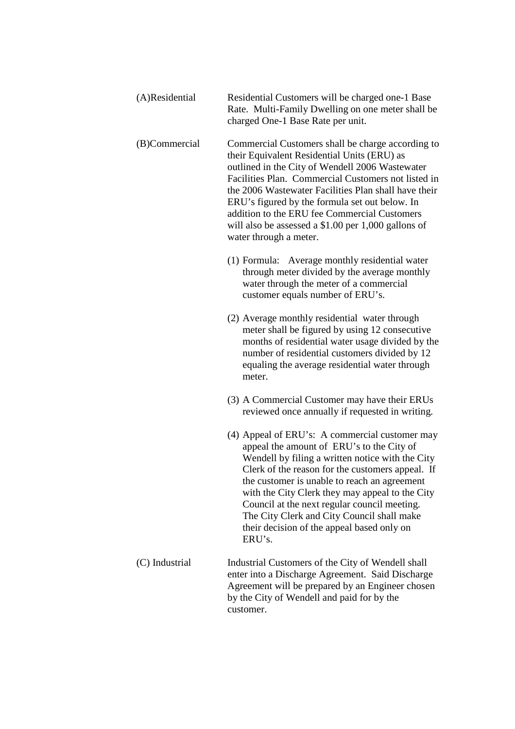| (A)Residential | Residential Customers will be charged one-1 Base  |
|----------------|---------------------------------------------------|
|                | Rate. Multi-Family Dwelling on one meter shall be |
|                | charged One-1 Base Rate per unit.                 |

(B)Commercial Commercial Customers shall be charge according to their Equivalent Residential Units (ERU) as outlined in the City of Wendell 2006 Wastewater Facilities Plan. Commercial Customers not listed in the 2006 Wastewater Facilities Plan shall have their ERU's figured by the formula set out below. In addition to the ERU fee Commercial Customers will also be assessed a \$1.00 per 1,000 gallons of water through a meter.

- (1) Formula: Average monthly residential water through meter divided by the average monthly water through the meter of a commercial customer equals number of ERU's.
- (2) Average monthly residential water through meter shall be figured by using 12 consecutive months of residential water usage divided by the number of residential customers divided by 12 equaling the average residential water through meter.
- (3) A Commercial Customer may have their ERUs reviewed once annually if requested in writing.
- (4) Appeal of ERU's: A commercial customer may appeal the amount of ERU's to the City of Wendell by filing a written notice with the City Clerk of the reason for the customers appeal. If the customer is unable to reach an agreement with the City Clerk they may appeal to the City Council at the next regular council meeting. The City Clerk and City Council shall make their decision of the appeal based only on ERU's.
- (C) Industrial Industrial Customers of the City of Wendell shall enter into a Discharge Agreement. Said Discharge Agreement will be prepared by an Engineer chosen by the City of Wendell and paid for by the customer.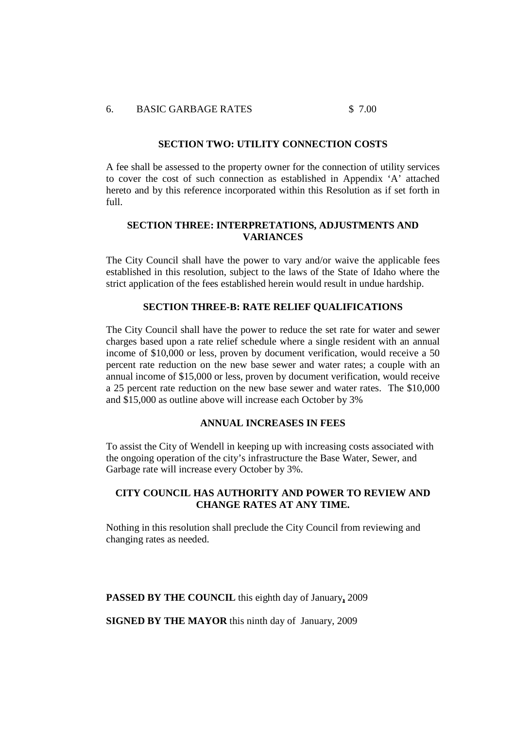### 6. BASIC GARBAGE RATES \$ 7.00

#### **SECTION TWO: UTILITY CONNECTION COSTS**

A fee shall be assessed to the property owner for the connection of utility services to cover the cost of such connection as established in Appendix 'A' attached hereto and by this reference incorporated within this Resolution as if set forth in full.

## **SECTION THREE: INTERPRETATIONS, ADJUSTMENTS AND VARIANCES**

The City Council shall have the power to vary and/or waive the applicable fees established in this resolution, subject to the laws of the State of Idaho where the strict application of the fees established herein would result in undue hardship.

### **SECTION THREE-B: RATE RELIEF QUALIFICATIONS**

The City Council shall have the power to reduce the set rate for water and sewer charges based upon a rate relief schedule where a single resident with an annual income of \$10,000 or less, proven by document verification, would receive a 50 percent rate reduction on the new base sewer and water rates; a couple with an annual income of \$15,000 or less, proven by document verification, would receive a 25 percent rate reduction on the new base sewer and water rates. The \$10,000 and \$15,000 as outline above will increase each October by 3%

#### **ANNUAL INCREASES IN FEES**

To assist the City of Wendell in keeping up with increasing costs associated with the ongoing operation of the city's infrastructure the Base Water, Sewer, and Garbage rate will increase every October by 3%.

## **CITY COUNCIL HAS AUTHORITY AND POWER TO REVIEW AND CHANGE RATES AT ANY TIME.**

Nothing in this resolution shall preclude the City Council from reviewing and changing rates as needed.

**PASSED BY THE COUNCIL** this eighth day of January**,** 2009

**SIGNED BY THE MAYOR** this ninth day of January, 2009